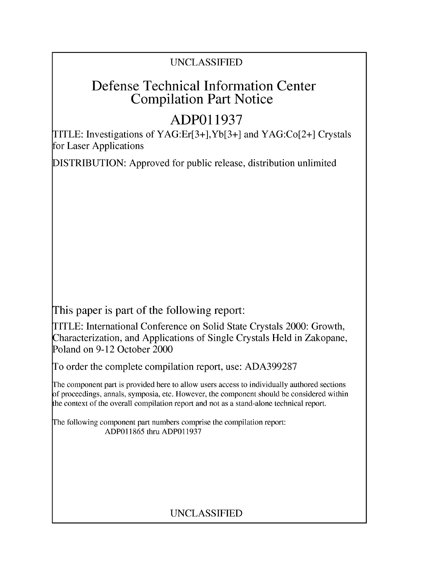### UNCLASSIFIED

# Defense Technical Information Center Compilation Part Notice

# **ADPO1 1937**

TITLE: Investigations of YAG:Er[3+],Yb[3+] and YAG:Co[2+] Crystals for Laser Applications

DISTRIBUTION: Approved for public release, distribution unlimited

This paper is part of the following report:

TITLE: International Conference on Solid State Crystals 2000: Growth, Characterization, and Applications of Single Crystals Held in Zakopane, Poland on 9-12 October 2000

To order the complete compilation report, use: ADA399287

The component part is provided here to allow users access to individually authored sections f proceedings, annals, symposia, etc. However, the component should be considered within [he context of the overall compilation report and not as a stand-alone technical report.

The following component part numbers comprise the compilation report: ADP011865 thru ADP011937

## UNCLASSIFIED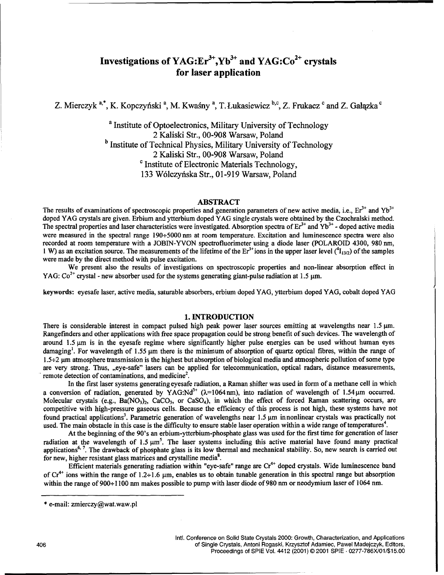### Investigations of YAG:Er<sup>3+</sup>,Yb<sup>3+</sup> and YAG:Co<sup>2+</sup> crystals for laser application

Z. Mierczyk <sup>a,\*</sup>, K. Kopczyński<sup>a</sup>, M. Kwaśny<sup>a</sup>, T. Łukasiewicz <sup>b,c</sup>, Z. Frukacz <sup>c</sup> and Z. Gałazka <sup>c</sup>

a Institute of Optoelectronics, Military University of Technology 2 Kaliski Str., 00-908 Warsaw, Poland <sup>b</sup> Institute of Technical Physics, Military University of Technology 2 Kaliski Str., 00-908 Warsaw, Poland <sup>c</sup> Institute of Electronic Materials Technology, 133 W61czyfiska Str., 01-919 Warsaw, Poland

#### ABSTRACT

The results of examinations of spectroscopic properties and generation parameters of new active media, i.e.,  $Er^{3+}$  and  $Yb^{3+}$ doped YAG crystals are given. Erbium and ytterbium doped YAG single crystals were obtained by the Czochralski method. The spectral properties and laser characteristics were investigated. Absorption spectra of Er<sup>3+</sup> and Yb<sup>3+</sup> · doped active media were measured in the spectral range 190÷5000 nm at room temperature. Excitation and luminescence spectra were also recorded at room temperature with a JOBIN-YVON spectrofluorimeter using a diode laser (POLAROID 4300, 980 nm, 1 W) as an excitation source. The measurements of the lifetime of the Er<sup>3+</sup>ions in the upper laser level  $(^{4}I_{13/2})$  of the samples were made by the direct method with pulse excitation.

We present also the results of investigations on spectroscopic properties and non-linear absorption effect in YAG:  $\text{Co}^{2+}$  crystal - new absorber used for the systems generating giant-pulse radiation at 1.5 µm.

keywords: eyesafe laser, active media, saturable absorbers, erbium doped YAG, ytterbium doped YAG, cobalt doped YAG

#### 1. INTRODUCTION

There is considerable interest in compact pulsed high peak power laser sources emitting at wavelengths near  $1.5 \mu m$ . Rangefmders and other applications with free space propagation could be strong benefit of such devices. The wavelength of around  $1.5 \mu m$  is in the eyesafe regime where significantly higher pulse energies can be used without human eyes damaging<sup>1</sup>. For wavelength of 1.55  $\mu$ m there is the minimum of absorption of quartz optical fibres, within the range of  $1.5\div 2$  µm atmosphere transmission is the highest but absorption of biological media and atmospheric pollution of some type are very strong. Thus, ,,eye-safe" lasers can be applied for telecommunication, optical radars, distance measurements, remote detection of contaminations, and medicine<sup>2</sup>.

In the first laser systems generating eyesafe radiation, a Raman shifter was used in form of a methane cell in which a conversion of radiation, generated by YAG:Nd<sup>3+</sup> ( $\lambda$ =1064nm), into radiation of wavelength of 1.54 $\mu$ m occurred. Molecular crystals (e.g.,  $Ba(NO_3)$ ), CaCO<sub>3</sub>, or CaSO<sub>4</sub>), in which the effect of forced Raman scattering occurs, are competitive with high-pressure gaseous cells. Because the efficiency of this process is not high, these systems have not found practical applications<sup>3</sup>. Parametric generation of wavelengths near 1.5 µm in nonlinear crystals was practically not used. The main obstacle in this case is the difficulty to ensure stable laser operation within a wide range of temperatures<sup>4</sup>.

At the beginning of the 90's an erbium-ytterbium-phosphate glass was used for the first time for generation of laser radiation at the wavelength of  $1.5 \mu m^5$ . The laser systems including this active material have found many practical applications<sup>6, 7</sup>. The drawback of phosphate glass is its low thermal and mechanical stability. So, new search is carried out for new, higher resistant glass matrices and crystalline media<sup>8</sup>.

Efficient materials generating radiation within "eye-safe" range are  $Cr^{4+}$  doped crystals. Wide luminescence band of  $Cr^{4+}$  ions within the range of 1.2÷1.6  $\mu$ m, enables us to obtain tunable generation in this spectral range but absorption within the range of 900+1100 nm makes possible to pump with laser diode of 980 nm or neodymium laser of 1064 nm.

<sup>\*</sup> e-mail: zmierczy@wat.waw.pl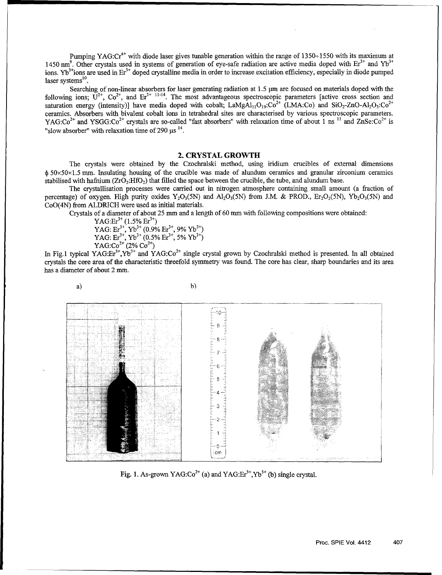Pumping YAG: $Cr^{4+}$  with diode laser gives tunable generation within the range of 1350÷1550 with its maximum at 1450 nm<sup>9</sup>. Other crystals used in systems of generation of eye-safe radiation are active media doped with  $Er^{3+}$  and  $Yb^{3+}$ ions. Yb<sup>3+</sup>ions are used in  $Er^{3+}$  doped crystalline media in order to increase excitation efficiency, especially in diode pumped laser systems<sup>10</sup>.

Searching of non-linear absorbers for laser generating radiation at 1.5  $\mu$ m are focused on materials doped with the following ions;  $\overline{U}^{2+}$ ,  $\overline{C}o^{2+}$ , and  $\overline{Er}^{3+11-14}$ . The most advantageous spectroscopic parameters [active cross section and saturation energy (intensity)] have media doped with cobalt;  $\text{LamgAl}_{11}O_{19}$ : $\text{Co}^{2+}$  (LMA:Co) and SiO<sub>2</sub>-ZnO-Al<sub>2</sub>O<sub>3</sub>:Co<sup>2+</sup> ceramics. Absorbers with bivalent cobalt ions in tetrahedral sites are characterised by various spectroscopic parameters. YAG: $Co^{2+}$  and YSGG: $Co^{2+}$  crystals are so-called "fast absorbers" with relaxation time of about 1 ns <sup>11</sup> and ZnSe: $Co^{2+}$  is "slow absorber" with relaxation time of 290  $\mu$ s<sup>14</sup>.

#### 2. CRYSTAL GROWTH

The crystals were obtained by the Czochralski method, using iridium crucibles of external dimensions  $\phi$  50×50×1.5 mm. Insulating housing of the crucible was made of alundum ceramics and granular zirconium ceramics stabilised with hafnium  $(ZrO_2:HO_2)$  that filled the space between the crucible, the tube, and alundum base.

The crystallisation processes were carried out in nitrogen atmosphere containing small amount (a fraction of percentage) of oxygen. High purity oxides  $Y_2O_3(5N)$  and  $Al_2O_3(5N)$  from J.M. & PROD., Er<sub>2</sub>O<sub>3</sub>(5N), Yb<sub>2</sub>O<sub>3</sub>(5N) and CoO(4N) from ALDRICH were used as initial materials.

Crystals of a diameter of about 25 mm and a length of 60 mm with following compositions were obtained:

YAG: $Er<sup>3+</sup>$  (1.5%  $Er<sup>3+</sup>$  $YAG: Er<sup>3+</sup>, Yb<sup>3+</sup> (0.9% Er<sup>3+</sup>, 9% Yb<sup>3+</sup>)$ YAG:  $Er^{3+}$ ,  $Yb^{3+}$  (0.5%  $Er^{3+}$ , 5%  $Yb^{3-}$ ) YAG: $Co^{2+}(2\% Co^{2+})$ 

In Fig.1 typical YAG: $Er^{3+}$ , Yb<sup>3+</sup> and YAG:Co<sup>2+</sup> single crystal grown by Czochralski method is presented. In all obtained crystals the core area of the characteristic threefold symmetry was found. The core has clear, sharp boundaries and its area has a diameter of about 2 mm.







Fig. 1. As-grown YAG: $Co^{2+}$  (a) and YAG: $Er^{3+}$ ,Yb<sup>3+</sup> (b) single crystal.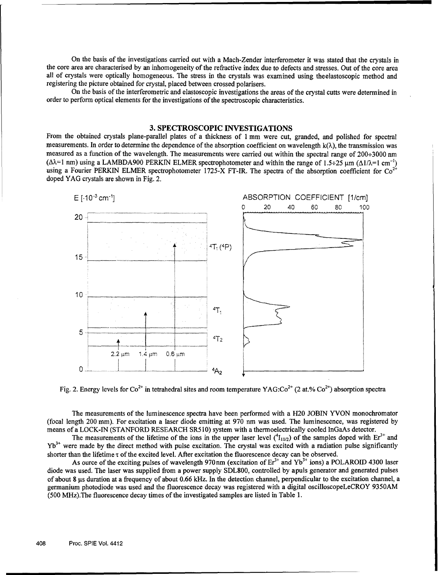On the basis of the investigations carried out with a Mach-Zender interferometer it was stated that the crystals in the core area are characterised by an inhomogeneity of the refractive index due to defects and stresses. Out of the core area all of crystals were optically homogeneous. The stress in the crystals was examined using theelastoscopic method and registering the picture obtained for crystal, placed between crossed polarisers.

On the basis of the interferometric and elastoscopic investigations the areas of the crystal cutts were determined in order to perform optical elements for the investigations of the spectroscopic characteristics.

### **3. SPECTROSCOPIC INVESTIGATIONS**

From the obtained crystals plane-parallel plates of a thickness of 1 mm were cut, granded, and polished for spectral measurements. In order to determine the dependence of the absorption coefficient on wavelength  $k(\lambda)$ , the transmission was measured as a function of the wavelength. The measurements were carried out within the spectral range of 200÷3000 nm  $(\Delta \lambda = 1 \text{ nm})$  using a LAMBDA900 PERKIN ELMER spectrophotometer and within the range of 1.5÷25 µm  $(\Delta 1/\lambda = 1 \text{ cm}^{-1})$ using a Fourier PERKIN ELMER spectrophotometer 1725-X FT-IR. The spectra of the absorption coefficient for  $Co^{2+}$ <br>using a Fourier PERKIN ELMER spectrophotometer 1725-X FT-IR. The spectra of the absorption coefficient for doped YAG crystals are shown in Fig. 2.



Fig. 2. Energy levels for  $Co^{2+}$  in tetrahedral sites and room temperature YAG: $Co^{2+}$  (2 at.%  $Co^{2+}$ ) absorption spectra

The measurements of the luminescence spectra have been performed with a H20 **JOBIN** YVON monochromator (focal length 200 mim). For excitation a laser diode emitting at **970** nm was used. The luminescence, was registered **by** means of a **LOCK-IN (STANFORD** RESEARCH *SR5* **10)** system with a thermoelectrically cooled InGaAs detector.

The measurements of the lifetime of the ions in the upper laser level  $(^{4}I_{11/2})$  of the samples doped with  $Er^{3+}$  and Yb" were made **by** the direct method with pulse excitation. The crystal was excited with a radiation pulse significantly shorter than the lifetime  $\tau$  of the excited level. After excitation the fluorescence decay can be observed.

As ource of the exciting pulses of wavelength 970nm (excitation of  $Er<sup>3+</sup>$  and Yb<sup>3+</sup> ions) a POLAROID 4300 laser diode was used. The laser was supplied from a power supply **SDL800,** controlled **by** apuls generator and generated pulses of about **8** gs duration at a frequency of about **0.66** kHz. In the detection channel, perpendicular to the excitation channel, a germanium photodiode was used and the fluorescence decay was registered with a digital oscilloscopeLeCROY **9350AM (500** MHz).The fluorescence decay times of the investigated samples are listed in Table **1.**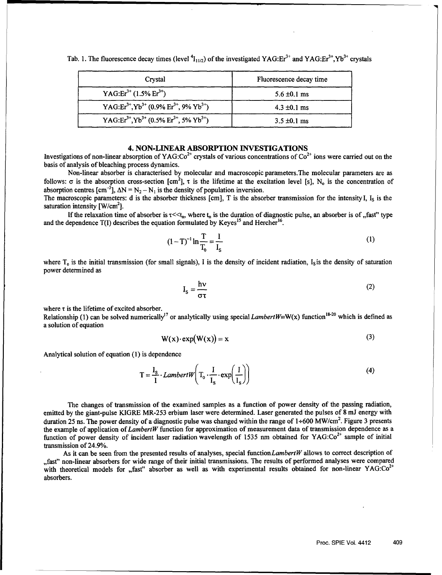| Crystal                                                                                | Fluorescence decay time |
|----------------------------------------------------------------------------------------|-------------------------|
| YAG: $Er3+$ (1.5% $Er3+$ )                                                             | $5.6 \pm 0.1$ ms        |
| YAG:Er <sup>3+</sup> , Yb <sup>3+</sup> (0.9% Er <sup>3+</sup> , 9% Yb <sup>3+</sup> ) | $4.3 \pm 0.1$ ms        |
| YAG:Er <sup>3+</sup> , Yb <sup>3+</sup> (0.5% Er <sup>3+</sup> , 5% Yb <sup>3+</sup> ) | $3.5 \pm 0.1$ ms        |

Tab. 1. The fluorescence decay times (level  ${}^{4}I_{11/2}$ ) of the investigated YAG:Er<sup>3+</sup> and YAG:Er<sup>3+</sup>,Yb<sup>3+</sup> crystals

#### 4. NON-LINEAR ABSORPTION **INVESTIGATIONS**

Investigations of non-linear absorption of YAG:Co<sup>2+</sup> crystals of various concentrations of Co<sup>2+</sup> ions were carried out on the basis of analysis of bleaching process dynamics.

Non-linear absorber is characterised by molecular and macroscopic parameters.The molecular parameters are as follows:  $\sigma$  is the absorption cross-section  $[cm^2]$ ,  $\tau$  is the lifetime at the excitation level [s], N<sub>o</sub> is the concentration of absorption centres  $[\text{cm}^{-3}]$ ,  $\Delta N = N_2 - N_1$  is the density of population inversion.

The macroscopic parameters: d is the absorber thickness [cm], T is the absorber transmission for the intensity I,  $I_s$  is the saturation intensity  $[ W/cm^2 ]$ .

If the relaxation time of absorber is  $\tau \ll t_n$ , where  $t_n$  is the duration of diagnostic pulse, an absorber is of "fast" type and the dependence  $T(I)$  describes the equation formulated by Keyes<sup>15</sup> and Hercher<sup>16</sup>.

$$
(1 - T)^{-1} \ln \frac{T}{T_0} = \frac{I}{I_s}
$$
 (1)

where  $T_0$  is the initial transmission (for small signals), I is the density of incident radiation, I<sub>s</sub> is the density of saturation power determined as

$$
I_s = \frac{h\nu}{\sigma\tau}
$$
 (2)

where  $\tau$  is the lifetime of excited absorber.

Relationship (1) can be solved numerically<sup>17</sup> or analytically using special *LambertW*=W(x) function<sup>18-20</sup> which is defined as a solution of equation

$$
W(x) \cdot \exp(W(x)) = x \tag{3}
$$

Analytical solution of equation (1) is dependence

$$
T = \frac{I_s}{I} \cdot LambertW \left( T_o \cdot \frac{I}{I_s} \cdot exp\left(\frac{I}{I_s}\right) \right)
$$
 (4)

The changes of transmission of the examined samples as a function of power density of the passing radiation, emitted by the giant-pulse KIGRE MR-253 erbium laser were determined. Laser generated the pulses of 8 mJ energy with duration 25 ns. The power density of a diagnostic pulse was changed within the range of  $1+600$  MW/cm<sup>2</sup>. Figure 3 presents the example of application of *LambertW* function for approximation of measurement data of transmission dependence as a function of power density of incident laser radiation wavelength of 1535 nm obtained for YAG: $Co^{2+}$  sample of initial transmission of 24.9%.

As it can be seen from the presented results of analyses, special function LambertW allows to correct description of ,,fast" non-linear absorbers for wide range of their initial transmissions. The results of performed analyses were compared with theoretical models for "fast" absorber as well as with experimental results obtained for non-linear  $YAG:Co^{2+}$ absorbers.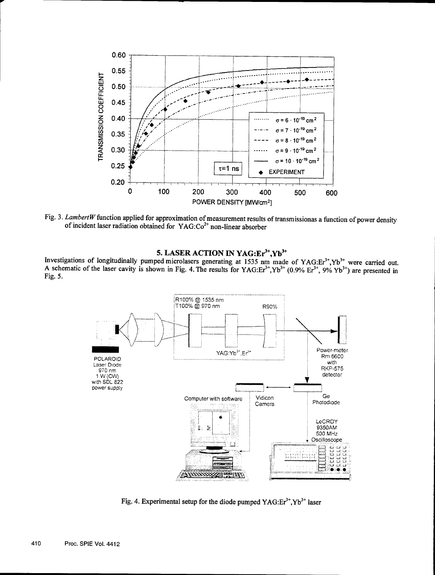

Fig. **3.** *LambertW* function applied for approximation of measurement results of transmissionas a function of power density of incident laser radiation obtained for YAG: **Co <sup>2</sup> '** non-linear absorber

**5. LASER ACTION IN YAG:Er<sup>3+</sup>,Yb<sup>3+</sup>**<br>Investigations of longitudinally pumped microlasers generating at *1535* nm made of YAG:Er<sup>3+</sup>,Yb<sup>3+</sup> were carried out. A schematic of the laser cavity is shown in Fig. 4. The results for  $YAG:Er^{3+}$ ,  $Yb^{3+}$   $(0.9\% Fr^{3+}$ ,  $9\% Yb^{3+} )$  are presented in Fig. *5.*



Fig. 4. Experimental setup for the diode pumped YAG:Er<sup>3+</sup>,Yb<sup>3+</sup> laser